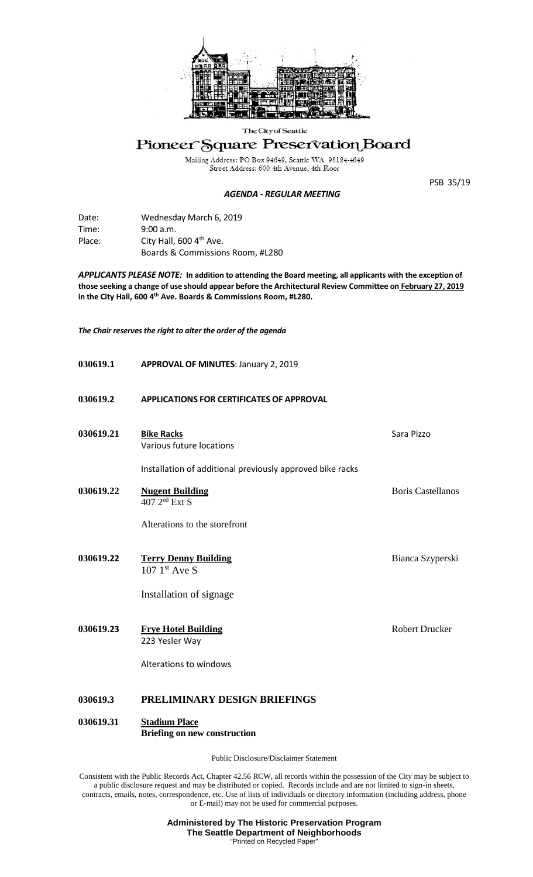

### The City of Seattle

# Pioneer Square Preservation Board

Mailing Address: PO Box 94649, Seattle WA 98124-4649<br>Street Address: 600 4th Avenue, 4th Floor

#### *AGENDA - REGULAR MEETING*

PSB 35/19

| Date:  | Wednesday March 6, 2019          |
|--------|----------------------------------|
| Time:  | 9:00 a.m.                        |
| Place: | City Hall, 600 4th Ave.          |
|        | Boards & Commissions Room, #L280 |

*APPLICANTS PLEASE NOTE:* **In addition to attending the Board meeting, all applicants with the exception of those seeking a change of use should appear before the Architectural Review Committee on February 27, 2019 in the City Hall, 600 4th Ave. Boards & Commissions Room, #L280.**

*The Chair reserves the right to alter the order of the agenda*

| 030619.1  | <b>APPROVAL OF MINUTES: January 2, 2019</b>                 |                          |
|-----------|-------------------------------------------------------------|--------------------------|
| 030619.2  | <b>APPLICATIONS FOR CERTIFICATES OF APPROVAL</b>            |                          |
| 030619.21 | <b>Bike Racks</b><br>Various future locations               | Sara Pizzo               |
|           | Installation of additional previously approved bike racks   |                          |
| 030619.22 | <b>Nugent Building</b><br>407 2 <sup>nd</sup> Ext S         | <b>Boris Castellanos</b> |
|           | Alterations to the storefront                               |                          |
| 030619.22 | <b>Terry Denny Building</b><br>$107 \;1^{st}$ Ave S         | Bianca Szyperski         |
|           | Installation of signage                                     |                          |
| 030619.23 | <b>Frye Hotel Building</b><br>223 Yesler Way                | <b>Robert Drucker</b>    |
|           | Alterations to windows                                      |                          |
| 030619.3  | PRELIMINARY DESIGN BRIEFINGS                                |                          |
| 030619.31 | <b>Stadium Place</b><br><b>Briefing on new construction</b> |                          |

Public Disclosure/Disclaimer Statement

Consistent with the Public Records Act, Chapter 42.56 RCW, all records within the possession of the City may be subject to a public disclosure request and may be distributed or copied. Records include and are not limited to sign-in sheets, contracts, emails, notes, correspondence, etc. Use of lists of individuals or directory information (including address, phone or E-mail) may not be used for commercial purposes.

> **Administered by The Historic Preservation Program The Seattle Department of Neighborhoods** "Printed on Recycled Paper"